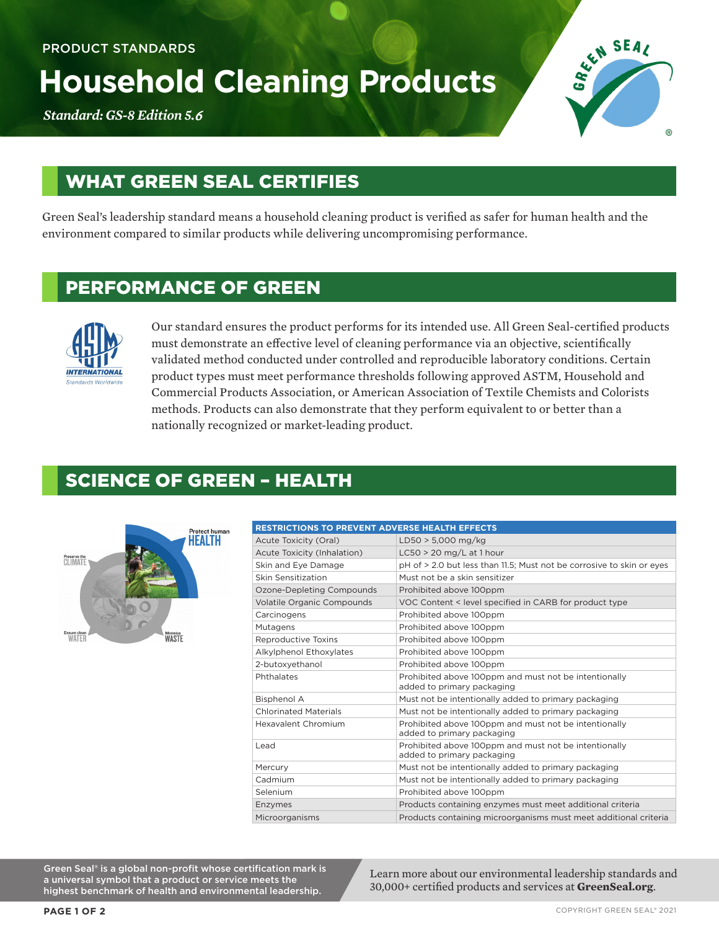# **Household Cleaning Products**

*Standard: GS-8 Edition 5.*6



# WHAT GREEN SEAL CERTIFIES

Green Seal's leadership standard means a household cleaning product is verified as safer for human health and the environment compared to similar products while delivering uncompromising performance.

### PERFORMANCE OF GREEN



Our standard ensures the product performs for its intended use. All Green Seal-certified products must demonstrate an effective level of cleaning performance via an objective, scientifically validated method conducted under controlled and reproducible laboratory conditions. Certain product types must meet performance thresholds following approved ASTM, Household and Commercial Products Association, or American Association of Textile Chemists and Colorists methods. Products can also demonstrate that they perform equivalent to or better than a nationally recognized or market-leading product.

#### SCIENCE OF GREEN – HEALTH



| <b>RESTRICTIONS TO PREVENT ADVERSE HEALTH EFFECTS</b> |                                                                                     |  |
|-------------------------------------------------------|-------------------------------------------------------------------------------------|--|
| Acute Toxicity (Oral)                                 | $LD50 > 5,000$ mg/kg                                                                |  |
| Acute Toxicity (Inhalation)                           | $LC50 > 20$ mg/L at 1 hour                                                          |  |
| Skin and Eye Damage                                   | pH of > 2.0 but less than 11.5; Must not be corrosive to skin or eyes               |  |
| Skin Sensitization                                    | Must not be a skin sensitizer                                                       |  |
| Ozone-Depleting Compounds                             | Prohibited above 100ppm                                                             |  |
| Volatile Organic Compounds                            | VOC Content < level specified in CARB for product type                              |  |
| Carcinogens                                           | Prohibited above 100ppm                                                             |  |
| Mutagens                                              | Prohibited above 100ppm                                                             |  |
| Reproductive Toxins                                   | Prohibited above 100ppm                                                             |  |
| Alkylphenol Ethoxylates                               | Prohibited above 100ppm                                                             |  |
| 2-butoxvethanol                                       | Prohibited above 100ppm                                                             |  |
| Phthalates                                            | Prohibited above 100ppm and must not be intentionally<br>added to primary packaging |  |
| <b>Bisphenol A</b>                                    | Must not be intentionally added to primary packaging                                |  |
| <b>Chlorinated Materials</b>                          | Must not be intentionally added to primary packaging                                |  |
| Hexavalent Chromium                                   | Prohibited above 100ppm and must not be intentionally<br>added to primary packaging |  |
| Lead                                                  | Prohibited above 100ppm and must not be intentionally<br>added to primary packaging |  |
| Mercury                                               | Must not be intentionally added to primary packaging                                |  |
| Cadmium                                               | Must not be intentionally added to primary packaging                                |  |
| Selenium                                              | Prohibited above 100ppm                                                             |  |
| Enzymes                                               | Products containing enzymes must meet additional criteria                           |  |
| Microorganisms                                        | Products containing microorganisms must meet additional criteria                    |  |

Green Seal® is a global non-profit whose certification mark is a universal symbol that a product or service meets the highest benchmark of health and environmental leadership.

Learn more about our environmental leadership standards and 30,000+ certified products and services at **GreenSeal.org**.